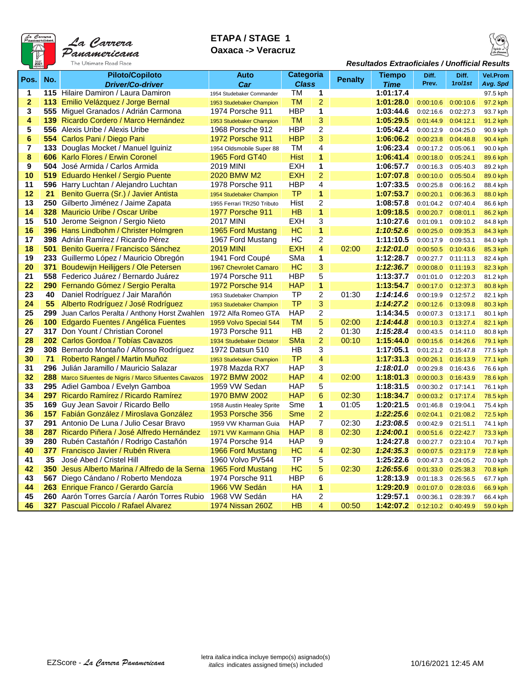

## **ETAPA / STAGE 1 Oaxaca -> Veracruz**



## *Resultados Extraoficiales / Unofficial Results*

|                |      | <b>Piloto/Copiloto</b>                                  | Auto                                         | Categoria    |                |         | Tiempo    | Diff.          | Diff.     | <b>Vel.Prom</b>      |         |          |
|----------------|------|---------------------------------------------------------|----------------------------------------------|--------------|----------------|---------|-----------|----------------|-----------|----------------------|---------|----------|
| Pos.           | No.  | <b>Driver/Co-driver</b>                                 | Car                                          | <b>Class</b> |                |         |           | <b>Penalty</b> | Time      | Prev.                | 1ro/1st | Avg. Spd |
| 1              |      | 115 Hilaire Damiron / Laura Damiron                     | 1954 Studebaker Commander                    |              |                | 1<br>ТM |           |                | 1:01:17.4 |                      |         | 97.5 kph |
| $\overline{2}$ |      | 113 Emilio Velázquez / Jorge Bernal                     | 1953 Studebaker Champion                     | <b>TM</b>    | $\overline{a}$ |         | 1:01:28.0 | 0:00:10.6      | 0:00:10.6 | 97.2 kph             |         |          |
| 3              |      | 555 Miguel Granados / Adrián Carmona                    | 1974 Porsche 911                             | <b>HBP</b>   | 1              |         | 1:03:44.6 | 0:02:16.6      | 0:02:27.3 | 93.7 kph             |         |          |
| 4              | 139  | Ricardo Cordero / Marco Hernández                       |                                              | <b>TM</b>    | 3              |         | 1:05:29.5 | 0:01:44.9      | 0:04:12.1 |                      |         |          |
| 5              | 556  | Alexis Uribe / Alexis Uribe                             | 1953 Studebaker Champion<br>1968 Porsche 912 | <b>HBP</b>   | 2              |         | 1:05:42.4 | 0:00:12.9      | 0:04:25.0 | 91.2 kph<br>90.9 kph |         |          |
| 6              |      | 554 Carlos Pani / Diego Pani                            | 1972 Porsche 911                             | <b>HBP</b>   | 3              |         | 1:06:06.2 | 0:00:23.8      | 0:04:48.8 | 90.4 kph             |         |          |
| $\overline{7}$ |      | 133 Douglas Mocket / Manuel Iguiniz                     | 1954 Oldsmobile Super 88                     | TM           | 4              |         | 1:06:23.4 | 0:00:17.2      | 0:05:06.1 | 90.0 kph             |         |          |
| 8              |      | <b>606</b> Karlo Flores / Erwin Coronel                 | 1965 Ford GT40                               | Hist         | 1              |         | 1:06:41.4 | 0:00:18.0      | 0:05:24.1 | 89.6 kph             |         |          |
| 9              | 504  | José Armida / Carlos Armida                             | <b>2019 MINI</b>                             | EXH          | 1              |         | 1:06:57.7 | 0:00:16.3      | 0:05:40.3 | 89.2 kph             |         |          |
| 10             |      | 519 Eduardo Henkel / Sergio Puente                      | 2020 BMW M2                                  | <b>EXH</b>   | $\overline{a}$ |         | 1:07:07.8 | 0:00:10.0      | 0:05:50.4 | 89.0 kph             |         |          |
| 11             |      | 596 Harry Luchtan / Alejandro Luchtan                   | 1978 Porsche 911                             | <b>HBP</b>   | 4              |         | 1:07:33.5 | 0:00:25.8      | 0:06:16.2 |                      |         |          |
| 12             | 21   | Benito Guerra (Sr.) / Javier Antista                    | 1954 Studebaker Champion                     | <b>TP</b>    | 1              |         | 1:07:53.7 | 0:00:20.1      | 0:06:36.3 | 88.4 kph<br>88.0 kph |         |          |
| 13             |      | 250 Gilberto Jiménez / Jaime Zapata                     | 1955 Ferrari TR250 Tributo                   | Hist         | $\overline{2}$ |         | 1:08:57.8 | 0:01:04.2      | 0:07:40.4 | 86.6 kph             |         |          |
| 14             |      | 328 Mauricio Uribe / Oscar Uribe                        | 1977 Porsche 911                             | <b>HB</b>    | 1              |         | 1:09:18.5 | 0:00:20.7      | 0:08:01.1 | 86.2 kph             |         |          |
| 15             | 510  | Jerome Seignon / Sergio Nieto                           | <b>2017 MINI</b>                             | <b>EXH</b>   | 3              |         | 1:10:27.6 | 0:01:09.1      | 0:09:10.2 | 84.8 kph             |         |          |
| 16             |      | 396 Hans Lindbohm / Christer Holmgren                   | 1965 Ford Mustang                            | HС           | 1              |         | 1:10:52.6 | 0:00:25.0      | 0:09:35.3 | 84.3 kph             |         |          |
| 17             |      | 398 Adrián Ramírez / Ricardo Pérez                      | 1967 Ford Mustang                            | HC           | $\overline{2}$ |         | 1:11:10.5 | 0:00:17.9      | 0:09:53.1 | 84.0 kph             |         |          |
| 18             | 501  | Benito Guerra / Francisco Sánchez                       | <b>2019 MINI</b>                             | <b>EXH</b>   | $\overline{a}$ | 02:00   | 1:12:01.0 | 0:00:50.5      | 0:10:43.6 | 85.3 kph             |         |          |
| 19             |      | 233 Guillermo López / Mauricio Obregón                  | 1941 Ford Coupé                              | SMa          | 1              |         | 1:12:28.7 | 0:00:27.7      | 0:11:11.3 | 82.4 kph             |         |          |
| 20             | 371  | Boudewijn Heilijgers / Ole Petersen                     | 1967 Chevrolet Camaro                        | HC           | 3              |         | 1:12:36.7 | 0:00:08.0      | 0:11:19.3 | 82.3 kph             |         |          |
| 21             |      | 558 Federico Juárez / Bernardo Juárez                   | 1974 Porsche 911                             | <b>HBP</b>   | 5              |         | 1:13:37.7 | 0:01:01.0      | 0:12:20.3 | 81.2 kph             |         |          |
| 22             | 290  | Fernando Gómez / Sergio Peralta                         | <b>1972 Porsche 914</b>                      | <b>HAP</b>   | 1              |         | 1:13:54.7 | 0:00:17.0      | 0:12:37.3 | 80.8 kph             |         |          |
| 23             | 40   | Daniel Rodríguez / Jair Marañón                         | 1953 Studebaker Champion                     | <b>TP</b>    | $\overline{2}$ | 01:30   | 1:14:14.6 | 0:00:19.9      | 0:12:57.2 | 82.1 kph             |         |          |
| 24             | 55   | Alberto Rodríguez / José Rodríguez                      | 1953 Studebaker Champion                     | <b>TP</b>    | 3              |         | 1:14:27.2 | 0:00:12.6      | 0:13:09.8 | 80.3 kph             |         |          |
| 25             | 299  | Juan Carlos Peralta / Anthony Horst Zwahlen             | 1972 Alfa Romeo GTA                          | HAP          | $\overline{2}$ |         | 1:14:34.5 | 0:00:07.3      | 0:13:17.1 | 80.1 kph             |         |          |
| 26             |      | 100 Edgardo Fuentes / Angélica Fuentes                  | 1959 Volvo Special 544                       | <b>TM</b>    | 5              | 02:00   | 1:14:44.8 | 0:00:10.3      | 0:13:27.4 | 82.1 kph             |         |          |
| 27             |      | 317 Don Yount / Christian Coronel                       | 1973 Porsche 911                             | HB           | $\overline{2}$ | 01:30   | 1:15:28.4 | 0:00:43.5      | 0:14:11.0 | 80.8 kph             |         |          |
| 28             |      | 202 Carlos Gordoa / Tobías Cavazos                      | 1934 Studebaker Dictator                     | SMa          | $\overline{a}$ | 00:10   | 1:15:44.0 | 0:00:15.6      | 0:14:26.6 | 79.1 kph             |         |          |
| 29             |      | 308 Bernardo Montaño / Alfonso Rodríguez                | 1972 Datsun 510                              | HB           | 3              |         | 1:17:05.1 | 0:01:21.2      | 0:15:47.8 | 77.5 kph             |         |          |
| 30             | 71   | Roberto Rangel / Martin Muñoz                           | 1953 Studebaker Champion                     | <b>TP</b>    | 4              |         | 1:17:31.3 | 0:00:26.1      | 0:16:13.9 | 77.1 kph             |         |          |
| 31             | 296  | Julián Jaramillo / Mauricio Salazar                     | 1978 Mazda RX7                               | <b>HAP</b>   | 3              |         | 1:18:01.0 | 0:00:29.8      | 0:16:43.6 | 76.6 kph             |         |          |
| 32             |      | 288 Marco Sifuentes de Nigris / Marco Sifuentes Cavazos | 1972 BMW 2002                                | <b>HAP</b>   | $\overline{a}$ | 02:00   | 1:18:01.3 | 0:00:00.3      | 0:16:43.9 | 78.6 kph             |         |          |
| 33             |      | 295 Adiel Gamboa / Evelyn Gamboa                        | 1959 VW Sedan                                | HAP          | 5              |         | 1:18:31.5 | 0:00:30.2      | 0:17:14.1 | 76.1 kph             |         |          |
| 34             |      | 297 Ricardo Ramírez / Ricardo Ramírez                   | 1970 BMW 2002                                | <b>HAP</b>   | 6              | 02:30   | 1:18:34.7 | 0:00:03.2      | 0:17:17.4 | 78.5 kph             |         |          |
| 35             | 169  | Guy Jean Savoir / Ricardo Bello                         | 1958 Austin Healey Sprite                    | Sme          | 1              | 01:05   | 1:20:21.5 | 0:01:46.8      | 0:19:04.1 | 75.4 kph             |         |          |
| 36             |      | 157 Fabián González / Miroslava González                | 1953 Porsche 356                             | Sme          | $\overline{c}$ |         | 1:22:25.6 | 0:02:04.1      | 0:21:08.2 | 72.5 kph             |         |          |
| 37             |      | 291 Antonio De Luna / Julio Cesar Bravo                 | 1959 VW Kharman Guia                         | <b>HAP</b>   | $\overline{7}$ | 02:30   | 1:23:08.5 | 0:00:42.9      | 0:21:51.1 | 74.1 kph             |         |          |
| 38             |      | 287 Ricardo Piñera / José Alfredo Hernández             | 1971 VW Karmann Ghia                         | <b>HAP</b>   | 8              | 02:30   | 1:24:00.1 | 0:00:51.6      | 0:22:42.7 | 73.3 kph             |         |          |
| 39             |      | 280 Rubén Castañón / Rodrigo Castañón                   | 1974 Porsche 914                             | <b>HAP</b>   | 9              |         | 1:24:27.8 | 0:00:27.7      | 0:23:10.4 | 70.7 kph             |         |          |
| 40             | 377. | <b>Francisco Javier / Rubén Rivera</b>                  | 1966 Ford Mustang                            | HС           | 4              | 02:30   | 1:24:35.3 | 0:00:07.5      | 0:23:17.9 | <b>72.8 kph</b>      |         |          |
| 41             | 35   | José Abed / Cristel Hill                                | 1960 Volvo PV544                             | TP           | 5              |         | 1:25:22.6 | 0:00:47.3      | 0:24:05.2 | 70.0 kph             |         |          |
| 42             | 350  | Jesus Alberto Marina / Alfredo de la Serna              | 1965 Ford Mustang                            | HС           | 5              | 02:30   | 1:26:55.6 | 0:01:33.0      | 0:25:38.3 | 70.8 kph             |         |          |
| 43             |      | 567 Diego Cándano / Roberto Mendoza                     | 1974 Porsche 911                             | <b>HBP</b>   | 6              |         | 1:28:13.9 | 0:01:18.3      | 0:26:56.5 | 67.7 kph             |         |          |
| 44             |      | 263 Enrique Franco / Gerardo García                     | 1966 VW Sedán                                | НA           | 1              |         | 1:29:20.9 | 0:01:07.0      | 0:28:03.6 | 66.9 kph             |         |          |
| 45             |      | 260 Aarón Torres García / Aarón Torres Rubio            | 1968 VW Sedán                                | НA           | 2              |         | 1:29:57.1 | 0:00:36.1      | 0:28:39.7 | 66.4 kph             |         |          |
| 46             |      | <b>327</b> Pascual Piccolo / Rafael Alvarez             | 1974 Nissan 260Z                             | HB           | 4              | 00:50   | 1:42:07.2 | 0:12:10.2      | 0:40:49.9 | 59.0 kph             |         |          |